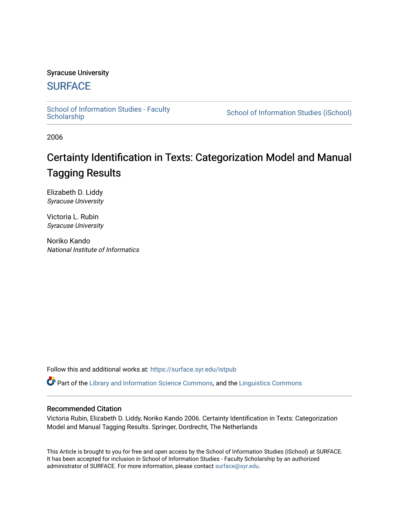## Syracuse University

## **[SURFACE](https://surface.syr.edu/)**

[School of Information Studies - Faculty](https://surface.syr.edu/istpub)<br>Scholarship

School of Information Studies (iSchool)

2006

# Certainty Identification in Texts: Categorization Model and Manual Tagging Results

Elizabeth D. Liddy Syracuse University

Victoria L. Rubin Syracuse University

Noriko Kando National Institute of Informatics

Follow this and additional works at: [https://surface.syr.edu/istpub](https://surface.syr.edu/istpub?utm_source=surface.syr.edu%2Fistpub%2F45&utm_medium=PDF&utm_campaign=PDFCoverPages) 

Part of the [Library and Information Science Commons,](http://network.bepress.com/hgg/discipline/1018?utm_source=surface.syr.edu%2Fistpub%2F45&utm_medium=PDF&utm_campaign=PDFCoverPages) and the [Linguistics Commons](http://network.bepress.com/hgg/discipline/371?utm_source=surface.syr.edu%2Fistpub%2F45&utm_medium=PDF&utm_campaign=PDFCoverPages) 

## Recommended Citation

Victoria Rubin, Elizabeth D. Liddy, Noriko Kando 2006. Certainty Identification in Texts: Categorization Model and Manual Tagging Results. Springer, Dordrecht, The Netherlands

This Article is brought to you for free and open access by the School of Information Studies (iSchool) at SURFACE. It has been accepted for inclusion in School of Information Studies - Faculty Scholarship by an authorized administrator of SURFACE. For more information, please contact [surface@syr.edu](mailto:surface@syr.edu).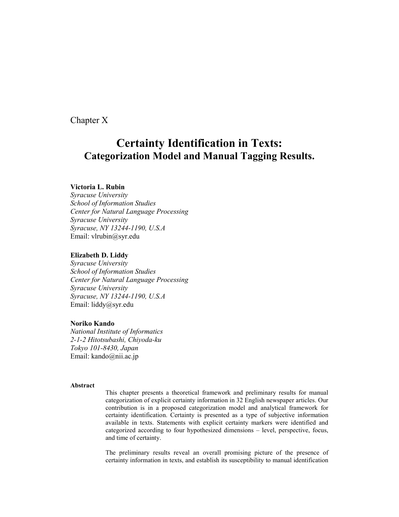## Chapter X

## Certainty Identification in Texts: Categorization Model and Manual Tagging Results.

## Victoria L. Rubin

Syracuse University School of Information Studies Center for Natural Language Processing Syracuse University Syracuse, NY 13244-1190, U.S.A Email: vlrubin@syr.edu

#### Elizabeth D. Liddy

Syracuse University School of Information Studies Center for Natural Language Processing Syracuse University Syracuse, NY 13244-1190, U.S.A Email: liddy@syr.edu

#### Noriko Kando

National Institute of Informatics 2-1-2 Hitotsubashi, Chiyoda-ku Tokyo 101-8430, Japan Email: kando@nii.ac.jp

#### Abstract

This chapter presents a theoretical framework and preliminary results for manual categorization of explicit certainty information in 32 English newspaper articles. Our contribution is in a proposed categorization model and analytical framework for certainty identification. Certainty is presented as a type of subjective information available in texts. Statements with explicit certainty markers were identified and categorized according to four hypothesized dimensions – level, perspective, focus, and time of certainty.

The preliminary results reveal an overall promising picture of the presence of certainty information in texts, and establish its susceptibility to manual identification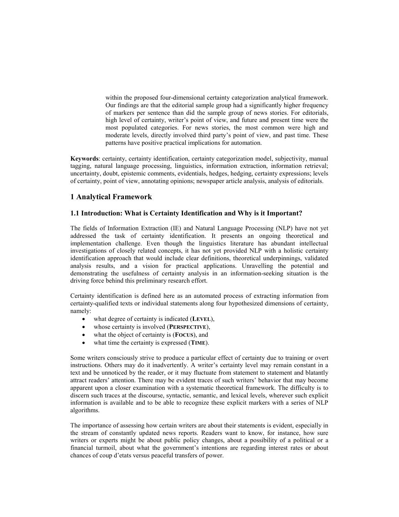within the proposed four-dimensional certainty categorization analytical framework. Our findings are that the editorial sample group had a significantly higher frequency of markers per sentence than did the sample group of news stories. For editorials, high level of certainty, writer's point of view, and future and present time were the most populated categories. For news stories, the most common were high and moderate levels, directly involved third party's point of view, and past time. These patterns have positive practical implications for automation.

Keywords: certainty, certainty identification, certainty categorization model, subjectivity, manual tagging, natural language processing, linguistics, information extraction, information retrieval; uncertainty, doubt, epistemic comments, evidentials, hedges, hedging, certainty expressions; levels of certainty, point of view, annotating opinions; newspaper article analysis, analysis of editorials.

## 1 Analytical Framework

## 1.1 Introduction: What is Certainty Identification and Why is it Important?

The fields of Information Extraction (IE) and Natural Language Processing (NLP) have not yet addressed the task of certainty identification. It presents an ongoing theoretical and implementation challenge. Even though the linguistics literature has abundant intellectual investigations of closely related concepts, it has not yet provided NLP with a holistic certainty identification approach that would include clear definitions, theoretical underpinnings, validated analysis results, and a vision for practical applications. Unravelling the potential and demonstrating the usefulness of certainty analysis in an information-seeking situation is the driving force behind this preliminary research effort.

Certainty identification is defined here as an automated process of extracting information from certainty-qualified texts or individual statements along four hypothesized dimensions of certainty, namely:

- what degree of certainty is indicated (LEVEL),
- whose certainty is involved (PERSPECTIVE),
- what the object of certainty is (FOCUS), and
- what time the certainty is expressed (TIME).

Some writers consciously strive to produce a particular effect of certainty due to training or overt instructions. Others may do it inadvertently. A writer's certainty level may remain constant in a text and be unnoticed by the reader, or it may fluctuate from statement to statement and blatantly attract readers' attention. There may be evident traces of such writers' behavior that may become apparent upon a closer examination with a systematic theoretical framework. The difficulty is to discern such traces at the discourse, syntactic, semantic, and lexical levels, wherever such explicit information is available and to be able to recognize these explicit markers with a series of NLP algorithms.

The importance of assessing how certain writers are about their statements is evident, especially in the stream of constantly updated news reports. Readers want to know, for instance, how sure writers or experts might be about public policy changes, about a possibility of a political or a financial turmoil, about what the government's intentions are regarding interest rates or about chances of coup d'etats versus peaceful transfers of power.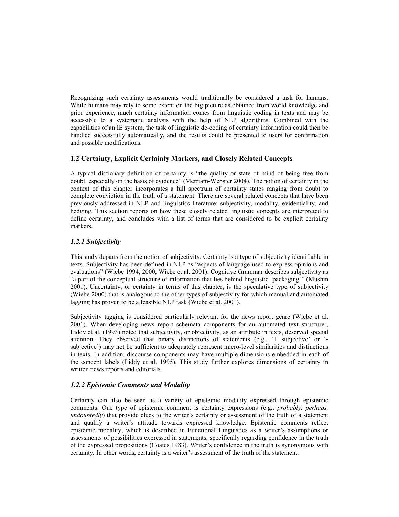Recognizing such certainty assessments would traditionally be considered a task for humans. While humans may rely to some extent on the big picture as obtained from world knowledge and prior experience, much certainty information comes from linguistic coding in texts and may be accessible to a systematic analysis with the help of NLP algorithms. Combined with the capabilities of an IE system, the task of linguistic de-coding of certainty information could then be handled successfully automatically, and the results could be presented to users for confirmation and possible modifications.

#### 1.2 Certainty, Explicit Certainty Markers, and Closely Related Concepts

A typical dictionary definition of certainty is "the quality or state of mind of being free from doubt, especially on the basis of evidence" (Merriam-Webster 2004). The notion of certainty in the context of this chapter incorporates a full spectrum of certainty states ranging from doubt to complete conviction in the truth of a statement. There are several related concepts that have been previously addressed in NLP and linguistics literature: subjectivity, modality, evidentiality, and hedging. This section reports on how these closely related linguistic concepts are interpreted to define certainty, and concludes with a list of terms that are considered to be explicit certainty markers.

## 1.2.1 Subjectivity

This study departs from the notion of subjectivity. Certainty is a type of subjectivity identifiable in texts. Subjectivity has been defined in NLP as "aspects of language used to express opinions and evaluations" (Wiebe 1994, 2000, Wiebe et al. 2001). Cognitive Grammar describes subjectivity as "a part of the conceptual structure of information that lies behind linguistic 'packaging'" (Mushin 2001). Uncertainty, or certainty in terms of this chapter, is the speculative type of subjectivity (Wiebe 2000) that is analogous to the other types of subjectivity for which manual and automated tagging has proven to be a feasible NLP task (Wiebe et al. 2001).

Subjectivity tagging is considered particularly relevant for the news report genre (Wiebe et al. 2001). When developing news report schemata components for an automated text structurer, Liddy et al. (1993) noted that subjectivity, or objectivity, as an attribute in texts, deserved special attention. They observed that binary distinctions of statements (e.g., '+ subjective' or ' subjective') may not be sufficient to adequately represent micro-level similarities and distinctions in texts. In addition, discourse components may have multiple dimensions embedded in each of the concept labels (Liddy et al. 1995). This study further explores dimensions of certainty in written news reports and editorials.

## 1.2.2 Epistemic Comments and Modality

Certainty can also be seen as a variety of epistemic modality expressed through epistemic comments. One type of epistemic comment is certainty expressions (e.g., probably, perhaps, undoubtedly) that provide clues to the writer's certainty or assessment of the truth of a statement and qualify a writer's attitude towards expressed knowledge. Epistemic comments reflect epistemic modality, which is described in Functional Linguistics as a writer's assumptions or assessments of possibilities expressed in statements, specifically regarding confidence in the truth of the expressed propositions (Coates 1983). Writer's confidence in the truth is synonymous with certainty. In other words, certainty is a writer's assessment of the truth of the statement.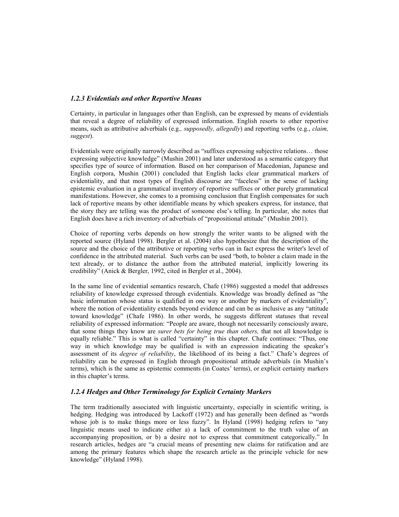## 1.2.3 Evidentials and other Reportive Means

Certainty, in particular in languages other than English, can be expressed by means of evidentials that reveal a degree of reliability of expressed information. English resorts to other reportive means, such as attributive adverbials (e.g., *supposedly, allegedly*) and reporting verbs (e.g., *claim*, suggest).

Evidentials were originally narrowly described as "suffixes expressing subjective relations… those expressing subjective knowledge" (Mushin 2001) and later understood as a semantic category that specifies type of source of information. Based on her comparison of Macedonian, Japanese and English corpora, Mushin (2001) concluded that English lacks clear grammatical markers of evidentiality, and that most types of English discourse are "faceless" in the sense of lacking epistemic evaluation in a grammatical inventory of reportive suffixes or other purely grammatical manifestations. However, she comes to a promising conclusion that English compensates for such lack of reportive means by other identifiable means by which speakers express, for instance, that the story they are telling was the product of someone else's telling. In particular, she notes that English does have a rich inventory of adverbials of "propositional attitude" (Mushin 2001).

Choice of reporting verbs depends on how strongly the writer wants to be aligned with the reported source (Hyland 1998). Bergler et al. (2004) also hypothesize that the description of the source and the choice of the attributive or reporting verbs can in fact express the writer's level of confidence in the attributed material. Such verbs can be used "both, to bolster a claim made in the text already, or to distance the author from the attributed material, implicitly lowering its credibility" (Anick & Bergler, 1992, cited in Bergler et al., 2004).

In the same line of evidential semantics research, Chafe (1986) suggested a model that addresses reliability of knowledge expressed through evidentials. Knowledge was broadly defined as "the basic information whose status is qualified in one way or another by markers of evidentiality", where the notion of evidentiality extends beyond evidence and can be as inclusive as any "attitude toward knowledge" (Chafe 1986). In other words, he suggests different statuses that reveal reliability of expressed information: "People are aware, though not necessarily consciously aware, that some things they know are *surer bets for being true than others*, that not all knowledge is equally reliable." This is what is called "certainty" in this chapter. Chafe continues: "Thus, one way in which knowledge may be qualified is with an expression indicating the speaker's assessment of its degree of reliability, the likelihood of its being a fact." Chafe's degrees of reliability can be expressed in English through propositional attitude adverbials (in Mushin's terms), which is the same as epistemic comments (in Coates' terms), or explicit certainty markers in this chapter's terms.

#### 1.2.4 Hedges and Other Terminology for Explicit Certainty Markers

The term traditionally associated with linguistic uncertainty, especially in scientific writing, is hedging. Hedging was introduced by Lackoff (1972) and has generally been defined as "words whose job is to make things more or less fuzzy". In Hyland (1998) hedging refers to "any linguistic means used to indicate either a) a lack of commitment to the truth value of an accompanying proposition, or b) a desire not to express that commitment categorically." In research articles, hedges are "a crucial means of presenting new claims for ratification and are among the primary features which shape the research article as the principle vehicle for new knowledge" (Hyland 1998).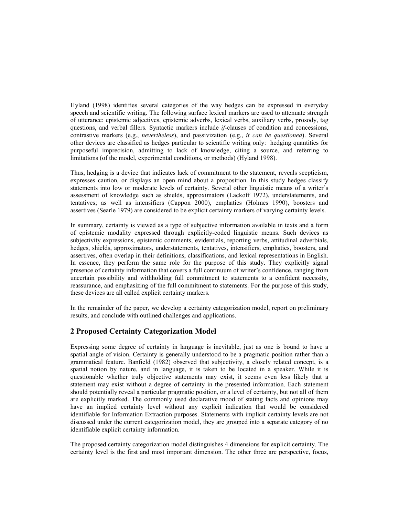Hyland (1998) identifies several categories of the way hedges can be expressed in everyday speech and scientific writing. The following surface lexical markers are used to attenuate strength of utterance: epistemic adjectives, epistemic adverbs, lexical verbs, auxiliary verbs, prosody, tag questions, and verbal fillers. Syntactic markers include if-clauses of condition and concessions, contrastive markers (e.g., *nevertheless*), and passivization (e.g., *it can be questioned*). Several other devices are classified as hedges particular to scientific writing only: hedging quantities for purposeful imprecision, admitting to lack of knowledge, citing a source, and referring to limitations (of the model, experimental conditions, or methods) (Hyland 1998).

Thus, hedging is a device that indicates lack of commitment to the statement, reveals scepticism, expresses caution, or displays an open mind about a proposition. In this study hedges classify statements into low or moderate levels of certainty. Several other linguistic means of a writer's assessment of knowledge such as shields, approximators (Lackoff 1972), understatements, and tentatives; as well as intensifiers (Cappon 2000), emphatics (Holmes 1990), boosters and assertives (Searle 1979) are considered to be explicit certainty markers of varying certainty levels.

In summary, certainty is viewed as a type of subjective information available in texts and a form of epistemic modality expressed through explicitly-coded linguistic means. Such devices as subjectivity expressions, epistemic comments, evidentials, reporting verbs, attitudinal adverbials, hedges, shields, approximators, understatements, tentatives, intensifiers, emphatics, boosters, and assertives, often overlap in their definitions, classifications, and lexical representations in English. In essence, they perform the same role for the purpose of this study. They explicitly signal presence of certainty information that covers a full continuum of writer's confidence, ranging from uncertain possibility and withholding full commitment to statements to a confident necessity, reassurance, and emphasizing of the full commitment to statements. For the purpose of this study, these devices are all called explicit certainty markers.

In the remainder of the paper, we develop a certainty categorization model, report on preliminary results, and conclude with outlined challenges and applications.

## 2 Proposed Certainty Categorization Model

Expressing some degree of certainty in language is inevitable, just as one is bound to have a spatial angle of vision. Certainty is generally understood to be a pragmatic position rather than a grammatical feature. Banfield (1982) observed that subjectivity, a closely related concept, is a spatial notion by nature, and in language, it is taken to be located in a speaker. While it is questionable whether truly objective statements may exist, it seems even less likely that a statement may exist without a degree of certainty in the presented information. Each statement should potentially reveal a particular pragmatic position, or a level of certainty, but not all of them are explicitly marked. The commonly used declarative mood of stating facts and opinions may have an implied certainty level without any explicit indication that would be considered identifiable for Information Extraction purposes. Statements with implicit certainty levels are not discussed under the current categorization model, they are grouped into a separate category of no identifiable explicit certainty information.

The proposed certainty categorization model distinguishes 4 dimensions for explicit certainty. The certainty level is the first and most important dimension. The other three are perspective, focus,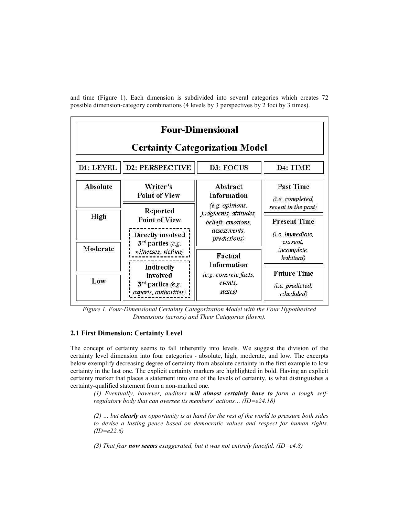and time (Figure 1). Each dimension is subdivided into several categories which creates 72 possible dimension-category combinations (4 levels by 3 perspectives by 2 foci by 3 times).



Figure 1. Four-Dimensional Certainty Categorization Model with the Four Hypothesized Dimensions (across) and Their Categories (down).

## 2.1 First Dimension: Certainty Level

The concept of certainty seems to fall inherently into levels. We suggest the division of the certainty level dimension into four categories - absolute, high, moderate, and low. The excerpts below exemplify decreasing degree of certainty from absolute certainty in the first example to low certainty in the last one. The explicit certainty markers are highlighted in bold. Having an explicit certainty marker that places a statement into one of the levels of certainty, is what distinguishes a certainty-qualified statement from a non-marked one.

(1) Eventually, however, auditors will almost certainly have to form a tough selfregulatory body that can oversee its members' actions...  $(ID= e24.18)$ 

 $(2)$  ... but clearly an opportunity is at hand for the rest of the world to pressure both sides to devise a lasting peace based on democratic values and respect for human rights.  $(ID = e22.6)$ 

(3) That fear **now seems** exaggerated, but it was not entirely fanciful. (ID=e4.8)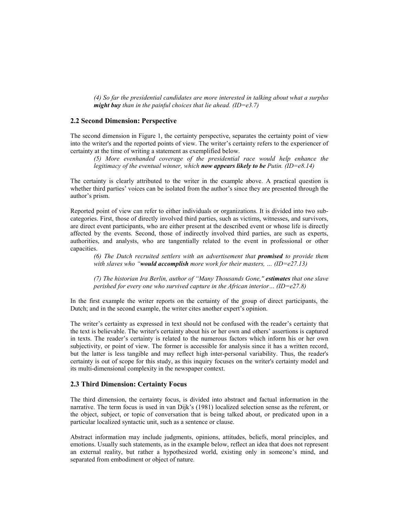(4) So far the presidential candidates are more interested in talking about what a surplus **might buy** than in the painful choices that lie ahead.  $(ID=e3.7)$ 

#### 2.2 Second Dimension: Perspective

The second dimension in Figure 1, the certainty perspective, separates the certainty point of view into the writer's and the reported points of view. The writer's certainty refers to the experiencer of certainty at the time of writing a statement as exemplified below.

(5) More evenhanded coverage of the presidential race would help enhance the legitimacy of the eventual winner, which **now appears likely to be** Putin. (ID=e8.14)

The certainty is clearly attributed to the writer in the example above. A practical question is whether third parties' voices can be isolated from the author's since they are presented through the author's prism.

Reported point of view can refer to either individuals or organizations. It is divided into two subcategories. First, those of directly involved third parties, such as victims, witnesses, and survivors, are direct event participants, who are either present at the described event or whose life is directly affected by the events. Second, those of indirectly involved third parties, are such as experts, authorities, and analysts, who are tangentially related to the event in professional or other capacities.

(6) The Dutch recruited settlers with an advertisement that promised to provide them with slaves who "**would accomplish** more work for their masters, ...  $(ID = e27.13)$ 

(7) The historian Ira Berlin, author of "Many Thousands Gone,'' estimates that one slave perished for every one who survived capture in the African interior... (ID=e27.8)

In the first example the writer reports on the certainty of the group of direct participants, the Dutch; and in the second example, the writer cites another expert's opinion.

The writer's certainty as expressed in text should not be confused with the reader's certainty that the text is believable. The writer's certainty about his or her own and others' assertions is captured in texts. The reader's certainty is related to the numerous factors which inform his or her own subjectivity, or point of view. The former is accessible for analysis since it has a written record, but the latter is less tangible and may reflect high inter-personal variability. Thus, the reader's certainty is out of scope for this study, as this inquiry focuses on the writer's certainty model and its multi-dimensional complexity in the newspaper context.

#### 2.3 Third Dimension: Certainty Focus

The third dimension, the certainty focus, is divided into abstract and factual information in the narrative. The term focus is used in van Dijk's (1981) localized selection sense as the referent, or the object, subject, or topic of conversation that is being talked about, or predicated upon in a particular localized syntactic unit, such as a sentence or clause.

Abstract information may include judgments, opinions, attitudes, beliefs, moral principles, and emotions. Usually such statements, as in the example below, reflect an idea that does not represent an external reality, but rather a hypothesized world, existing only in someone's mind, and separated from embodiment or object of nature.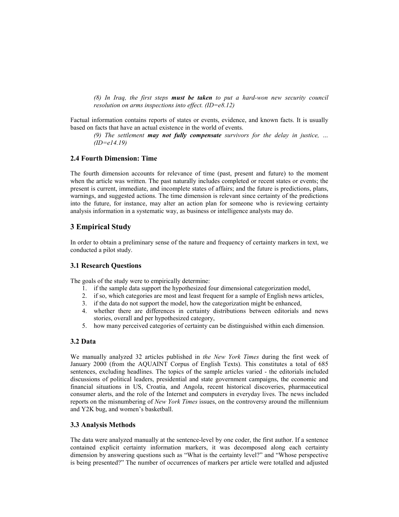(8) In Iraq, the first steps **must be taken** to put a hard-won new security council resolution on arms inspections into effect.  $(ID=e8.12)$ 

Factual information contains reports of states or events, evidence, and known facts. It is usually based on facts that have an actual existence in the world of events.

(9) The settlement **may not fully compensate** survivors for the delay in justice, ...  $(ID=el4.19)$ 

#### 2.4 Fourth Dimension: Time

The fourth dimension accounts for relevance of time (past, present and future) to the moment when the article was written. The past naturally includes completed or recent states or events; the present is current, immediate, and incomplete states of affairs; and the future is predictions, plans, warnings, and suggested actions. The time dimension is relevant since certainty of the predictions into the future, for instance, may alter an action plan for someone who is reviewing certainty analysis information in a systematic way, as business or intelligence analysts may do.

## 3 Empirical Study

In order to obtain a preliminary sense of the nature and frequency of certainty markers in text, we conducted a pilot study.

#### 3.1 Research Questions

The goals of the study were to empirically determine:

- 1. if the sample data support the hypothesized four dimensional categorization model,
- 2. if so, which categories are most and least frequent for a sample of English news articles,
- 3. if the data do not support the model, how the categorization might be enhanced,
- 4. whether there are differences in certainty distributions between editorials and news stories, overall and per hypothesized category,
- 5. how many perceived categories of certainty can be distinguished within each dimension.

#### 3.2 Data

We manually analyzed 32 articles published in the New York Times during the first week of January 2000 (from the AQUAINT Corpus of English Texts). This constitutes a total of 685 sentences, excluding headlines. The topics of the sample articles varied - the editorials included discussions of political leaders, presidential and state government campaigns, the economic and financial situations in US, Croatia, and Angola, recent historical discoveries, pharmaceutical consumer alerts, and the role of the Internet and computers in everyday lives. The news included reports on the misnumbering of New York Times issues, on the controversy around the millennium and Y2K bug, and women's basketball.

#### 3.3 Analysis Methods

The data were analyzed manually at the sentence-level by one coder, the first author. If a sentence contained explicit certainty information markers, it was decomposed along each certainty dimension by answering questions such as "What is the certainty level?" and "Whose perspective is being presented?" The number of occurrences of markers per article were totalled and adjusted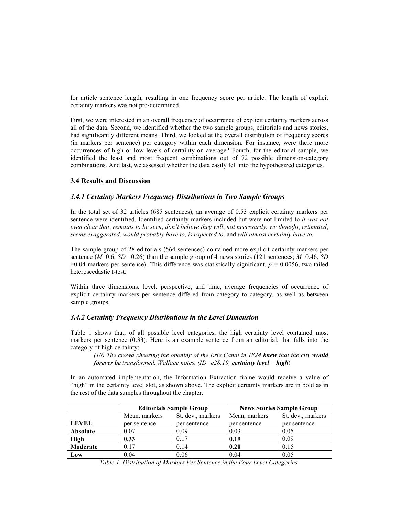for article sentence length, resulting in one frequency score per article. The length of explicit certainty markers was not pre-determined.

First, we were interested in an overall frequency of occurrence of explicit certainty markers across all of the data. Second, we identified whether the two sample groups, editorials and news stories, had significantly different means. Third, we looked at the overall distribution of frequency scores (in markers per sentence) per category within each dimension. For instance, were there more occurrences of high or low levels of certainty on average? Fourth, for the editorial sample, we identified the least and most frequent combinations out of 72 possible dimension-category combinations. And last, we assessed whether the data easily fell into the hypothesized categories.

#### 3.4 Results and Discussion

#### 3.4.1 Certainty Markers Frequency Distributions in Two Sample Groups

In the total set of 32 articles (685 sentences), an average of 0.53 explicit certainty markers per sentence were identified. Identified certainty markers included but were not limited to *it was not* even clear that, remains to be seen, don't believe they will, not necessarily, we thought, estimated, seems exaggerated, would probably have to, is expected to, and will almost certainly have to.

The sample group of 28 editorials (564 sentences) contained more explicit certainty markers per sentence ( $M=0.6$ ,  $SD=0.26$ ) than the sample group of 4 news stories (121 sentences;  $M=0.46$ ,  $SD$ )  $=0.04$  markers per sentence). This difference was statistically significant,  $p = 0.0056$ , two-tailed heteroscedastic t-test.

Within three dimensions, level, perspective, and time, average frequencies of occurrence of explicit certainty markers per sentence differed from category to category, as well as between sample groups.

#### 3.4.2 Certainty Frequency Distributions in the Level Dimension

Table 1 shows that, of all possible level categories, the high certainty level contained most markers per sentence (0.33). Here is an example sentence from an editorial, that falls into the category of high certainty:

(10) The crowd cheering the opening of the Erie Canal in 1824 knew that the city would forever be transformed, Wallace notes.  $(ID = e28.19,$  certainty level = high)

In an automated implementation, the Information Extraction frame would receive a value of "high" in the certainty level slot, as shown above. The explicit certainty markers are in bold as in the rest of the data samples throughout the chapter.

|              |               | <b>Editorials Sample Group</b> | <b>News Stories Sample Group</b> |                   |  |  |
|--------------|---------------|--------------------------------|----------------------------------|-------------------|--|--|
|              | Mean, markers | St. dev., markers              | Mean, markers                    | St. dev., markers |  |  |
| <b>LEVEL</b> | per sentence  | per sentence                   | per sentence                     | per sentence      |  |  |
| Absolute     | 0.07          | 0.09                           | 0.03                             | 0.05              |  |  |
| High         | 0.33          | 0.17                           | 0.19                             | 0.09              |  |  |
| Moderate     | 0.17          | 0.14                           | 0.20                             | 0.15              |  |  |
| Low          | 0.04          | 0.06                           | 0.04                             | 0.05              |  |  |

Table 1. Distribution of Markers Per Sentence in the Four Level Categories.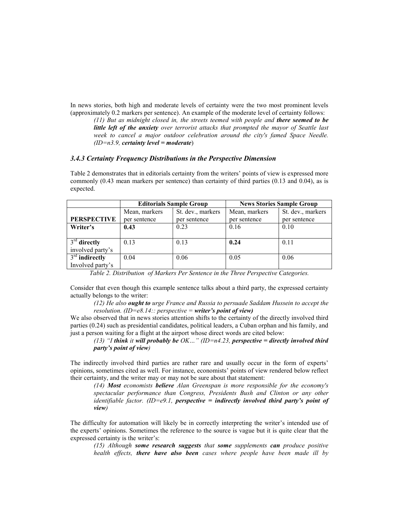In news stories, both high and moderate levels of certainty were the two most prominent levels (approximately 0.2 markers per sentence). An example of the moderate level of certainty follows:

 $(11)$  But as midnight closed in, the streets teemed with people and there seemed to be little left of the anxiety over terrorist attacks that prompted the mayor of Seattle last week to cancel a major outdoor celebration around the city's famed Space Needle.  $(ID=n3.9, certainity level = moderate)$ 

#### 3.4.3 Certainty Frequency Distributions in the Perspective Dimension

Table 2 demonstrates that in editorials certainty from the writers' points of view is expressed more commonly (0.43 mean markers per sentence) than certainty of third parties (0.13 and 0.04), as is expected.

|                    |               | <b>Editorials Sample Group</b> | <b>News Stories Sample Group</b> |                   |  |  |
|--------------------|---------------|--------------------------------|----------------------------------|-------------------|--|--|
|                    | Mean, markers | St. dev., markers              | Mean, markers                    | St. dev., markers |  |  |
| <b>PERSPECTIVE</b> | per sentence  | per sentence                   | per sentence                     | per sentence      |  |  |
| Writer's           | 0.43          | 0.23                           | 0.16                             | 0.10              |  |  |
|                    |               |                                |                                  |                   |  |  |
| $3rd$ directly     | 0.13          | 0.13                           | 0.24                             | 0.11              |  |  |
| involved party's   |               |                                |                                  |                   |  |  |
| $3rd$ indirectly   | 0.04          | 0.06                           | 0.05                             | 0.06              |  |  |
| Involved party's   |               |                                |                                  |                   |  |  |

Table 2. Distribution of Markers Per Sentence in the Three Perspective Categories.

Consider that even though this example sentence talks about a third party, the expressed certainty actually belongs to the writer:

 $(12)$  He also **ought to** urge France and Russia to persuade Saddam Hussein to accept the resolution. (ID=e8.14:: perspective = writer's point of view)

We also observed that in news stories attention shifts to the certainty of the directly involved third parties (0.24) such as presidential candidates, political leaders, a Cuban orphan and his family, and just a person waiting for a flight at the airport whose direct words are cited below:

(13) "I think it will probably be  $OK...$  " (ID=n4.23, perspective = directly involved third party's point of view)

The indirectly involved third parties are rather rare and usually occur in the form of experts' opinions, sometimes cited as well. For instance, economists' points of view rendered below reflect their certainty, and the writer may or may not be sure about that statement:

(14) Most economists believe Alan Greenspan is more responsible for the economy's spectacular performance than Congress, Presidents Bush and Clinton or any other identifiable factor. (ID=e9.1, perspective = indirectly involved third party's point of view)

The difficulty for automation will likely be in correctly interpreting the writer's intended use of the experts' opinions. Sometimes the reference to the source is vague but it is quite clear that the expressed certainty is the writer's:

(15) Although some research suggests that some supplements can produce positive health effects, there have also been cases where people have been made ill by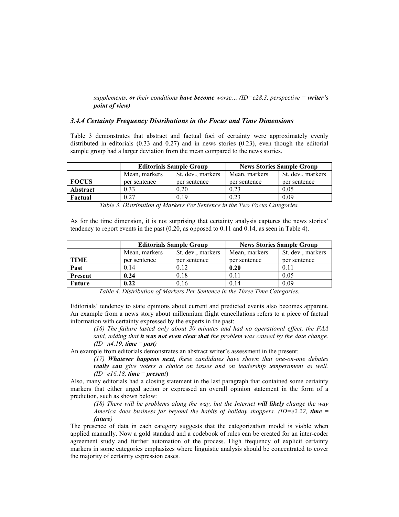supplements, or their conditions have become worse...  $(ID = e28.3, perspective = writer's$ point of view)

#### 3.4.4 Certainty Frequency Distributions in the Focus and Time Dimensions

Table 3 demonstrates that abstract and factual foci of certainty were approximately evenly distributed in editorials  $(0.33 \text{ and } 0.27)$  and in news stories  $(0.23)$ , even though the editorial sample group had a larger deviation from the mean compared to the news stories.

|              |               | <b>Editorials Sample Group</b> | <b>News Stories Sample Group</b> |                   |  |  |
|--------------|---------------|--------------------------------|----------------------------------|-------------------|--|--|
|              | Mean, markers | St. dev., markers              | Mean, markers                    | St. dev., markers |  |  |
| <b>FOCUS</b> | per sentence  | per sentence                   | per sentence                     | per sentence      |  |  |
| Abstract     | 0.33          | 0.20                           | 0.23                             | 0.05              |  |  |
| Factual      | 0.27          | 0.19                           | 0.23                             | 0.09              |  |  |

| Table 3. Distribution of Markers Per Sentence in the Two Focus Categories. |  |  |  |
|----------------------------------------------------------------------------|--|--|--|
|                                                                            |  |  |  |

As for the time dimension, it is not surprising that certainty analysis captures the news stories' tendency to report events in the past (0.20, as opposed to 0.11 and 0.14, as seen in Table 4).

|                |               | <b>Editorials Sample Group</b> | <b>News Stories Sample Group</b> |                   |  |  |  |
|----------------|---------------|--------------------------------|----------------------------------|-------------------|--|--|--|
|                | Mean, markers | St. dev., markers              | Mean, markers                    | St. dev., markers |  |  |  |
| TIME           | per sentence  | per sentence                   | per sentence                     | per sentence      |  |  |  |
| Past           | 0.14          | 0.12                           | 0.20                             | 0.11              |  |  |  |
| <b>Present</b> | 0.24          | 0.18                           | 0.11                             | 0.05              |  |  |  |
| Future         | 0.22          | 0.16                           | 0.14                             | 0.09              |  |  |  |

Table 4. Distribution of Markers Per Sentence in the Three Time Categories.

Editorials' tendency to state opinions about current and predicted events also becomes apparent. An example from a news story about millennium flight cancellations refers to a piece of factual information with certainty expressed by the experts in the past:

(16) The failure lasted only about 30 minutes and had no operational effect, the FAA said, adding that it was not even clear that the problem was caused by the date change.  $(ID=n4.19, time = past)$ 

An example from editorials demonstrates an abstract writer's assessment in the present:

(17) Whatever happens next, these candidates have shown that one-on-one debates really can give voters a choice on issues and on leadership temperament as well.  $(ID=el6.18, time=present)$ 

Also, many editorials had a closing statement in the last paragraph that contained some certainty markers that either urged action or expressed an overall opinion statement in the form of a prediction, such as shown below:

 $(18)$  There will be problems along the way, but the Internet will likely change the way America does business far beyond the habits of holiday shoppers. (ID=e2.22, time = future)

The presence of data in each category suggests that the categorization model is viable when applied manually. Now a gold standard and a codebook of rules can be created for an inter-coder agreement study and further automation of the process. High frequency of explicit certainty markers in some categories emphasizes where linguistic analysis should be concentrated to cover the majority of certainty expression cases.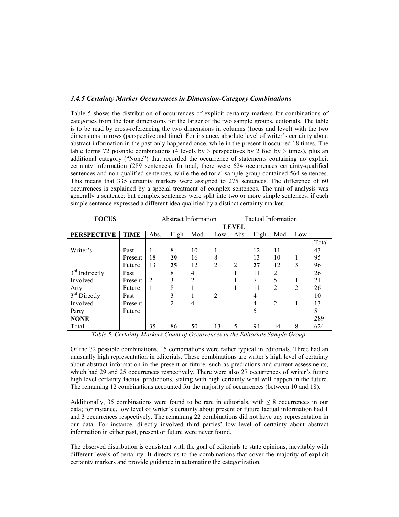## 3.4.5 Certainty Marker Occurrences in Dimension-Category Combinations

Table 5 shows the distribution of occurrences of explicit certainty markers for combinations of categories from the four dimensions for the larger of the two sample groups, editorials. The table is to be read by cross-referencing the two dimensions in columns (focus and level) with the two dimensions in rows (perspective and time). For instance, absolute level of writer's certainty about abstract information in the past only happened once, while in the present it occurred 18 times. The table forms 72 possible combinations (4 levels by 3 perspectives by 2 foci by 3 times), plus an additional category ("None") that recorded the occurrence of statements containing no explicit certainty information (289 sentences). In total, there were 624 occurrences certainty-qualified sentences and non-qualified sentences, while the editorial sample group contained 564 sentences. This means that 335 certainty markers were assigned to 275 sentences. The difference of 60 occurrences is explained by a special treatment of complex sentences. The unit of analysis was generally a sentence; but complex sentences were split into two or more simple sentences, if each simple sentence expressed a different idea qualified by a distinct certainty marker.

| <b>FOCUS</b>         |             |                            | <b>Abstract Information</b>    |              |                | <b>Factual Information</b> |                     |                    |                |       |
|----------------------|-------------|----------------------------|--------------------------------|--------------|----------------|----------------------------|---------------------|--------------------|----------------|-------|
|                      |             | <b>LEVEL</b>               |                                |              |                |                            |                     |                    |                |       |
| <b>PERSPECTIVE</b>   | <b>TIME</b> | Abs.                       | High                           | Mod.         | Low            | Abs.                       | High                | Mod.               | Low            |       |
|                      |             |                            |                                |              |                |                            |                     |                    |                | Total |
| Writer's             | Past        |                            | 8                              | 10           |                |                            | 12                  | 11                 |                | 43    |
|                      | Present     | 18                         | 29                             | 16           | 8              |                            | 13                  | 10                 |                | 95    |
|                      | Future      | 13                         | 25                             | 12           | 2              | $\overline{2}$             | 27                  | 12                 | 3              | 96    |
| $3rd$ Indirectly     | Past        |                            | 8                              | 4            |                |                            | 11                  | $\overline{2}$     |                | 26    |
| Involved             | Present     | $\overline{2}$             | 3                              | 2            |                |                            |                     | 5                  |                | 21    |
| Arty                 | Future      |                            | 8                              |              |                |                            | 11                  | $\overline{2}$     | $\overline{2}$ | 26    |
| $3rd$ Directly       | Past        |                            | 3                              |              | $\mathfrak{D}$ |                            | 4                   |                    |                | 10    |
| Involved             | Present     |                            | 2                              | 4            |                |                            | 4                   | $\mathfrak{D}$     |                | 13    |
| Party                | Future      |                            |                                |              |                |                            | 5                   |                    |                | 5     |
| <b>NONE</b>          |             |                            |                                |              |                |                            |                     |                    |                | 289   |
| Total<br>$-11 - - -$ |             | 35<br>$\sim$ $\sim$ $\sim$ | 86<br>$\overline{\phantom{a}}$ | 50<br>$\sim$ | 13             | 5<br>$-1$                  | 94<br>$\sim$ $\sim$ | 44<br>$\mathbf{r}$ | 8              | 624   |

Table 5. Certainty Markers Count of Occurrences in the Editorials Sample Group.

Of the 72 possible combinations, 15 combinations were rather typical in editorials. Three had an unusually high representation in editorials. These combinations are writer's high level of certainty about abstract information in the present or future, such as predictions and current assessments, which had 29 and 25 occurrences respectively. There were also 27 occurrences of writer's future high level certainty factual predictions, stating with high certainty what will happen in the future. The remaining 12 combinations accounted for the majority of occurrences (between 10 and 18).

Additionally, 35 combinations were found to be rare in editorials, with  $\leq 8$  occurrences in our data; for instance, low level of writer's certainty about present or future factual information had 1 and 3 occurrences respectively. The remaining 22 combinations did not have any representation in our data. For instance, directly involved third parties' low level of certainty about abstract information in either past, present or future were never found.

The observed distribution is consistent with the goal of editorials to state opinions, inevitably with different levels of certainty. It directs us to the combinations that cover the majority of explicit certainty markers and provide guidance in automating the categorization.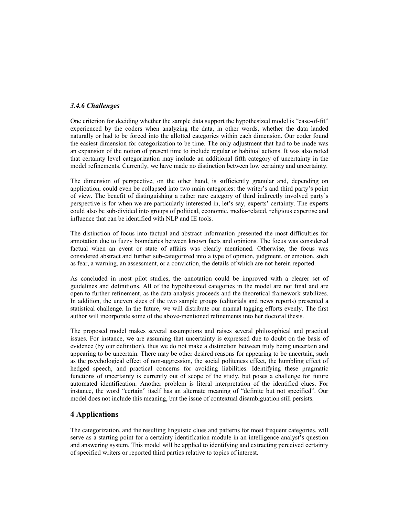## 3.4.6 Challenges

One criterion for deciding whether the sample data support the hypothesized model is "ease-of-fit" experienced by the coders when analyzing the data, in other words, whether the data landed naturally or had to be forced into the allotted categories within each dimension. Our coder found the easiest dimension for categorization to be time. The only adjustment that had to be made was an expansion of the notion of present time to include regular or habitual actions. It was also noted that certainty level categorization may include an additional fifth category of uncertainty in the model refinements. Currently, we have made no distinction between low certainty and uncertainty.

The dimension of perspective, on the other hand, is sufficiently granular and, depending on application, could even be collapsed into two main categories: the writer's and third party's point of view. The benefit of distinguishing a rather rare category of third indirectly involved party's perspective is for when we are particularly interested in, let's say, experts' certainty. The experts could also be sub-divided into groups of political, economic, media-related, religious expertise and influence that can be identified with NLP and IE tools.

The distinction of focus into factual and abstract information presented the most difficulties for annotation due to fuzzy boundaries between known facts and opinions. The focus was considered factual when an event or state of affairs was clearly mentioned. Otherwise, the focus was considered abstract and further sub-categorized into a type of opinion, judgment, or emotion, such as fear, a warning, an assessment, or a conviction, the details of which are not herein reported.

As concluded in most pilot studies, the annotation could be improved with a clearer set of guidelines and definitions. All of the hypothesized categories in the model are not final and are open to further refinement, as the data analysis proceeds and the theoretical framework stabilizes. In addition, the uneven sizes of the two sample groups (editorials and news reports) presented a statistical challenge. In the future, we will distribute our manual tagging efforts evenly. The first author will incorporate some of the above-mentioned refinements into her doctoral thesis.

The proposed model makes several assumptions and raises several philosophical and practical issues. For instance, we are assuming that uncertainty is expressed due to doubt on the basis of evidence (by our definition), thus we do not make a distinction between truly being uncertain and appearing to be uncertain. There may be other desired reasons for appearing to be uncertain, such as the psychological effect of non-aggression, the social politeness effect, the humbling effect of hedged speech, and practical concerns for avoiding liabilities. Identifying these pragmatic functions of uncertainty is currently out of scope of the study, but poses a challenge for future automated identification. Another problem is literal interpretation of the identified clues. For instance, the word "certain" itself has an alternate meaning of "definite but not specified". Our model does not include this meaning, but the issue of contextual disambiguation still persists.

## 4 Applications

The categorization, and the resulting linguistic clues and patterns for most frequent categories, will serve as a starting point for a certainty identification module in an intelligence analyst's question and answering system. This model will be applied to identifying and extracting perceived certainty of specified writers or reported third parties relative to topics of interest.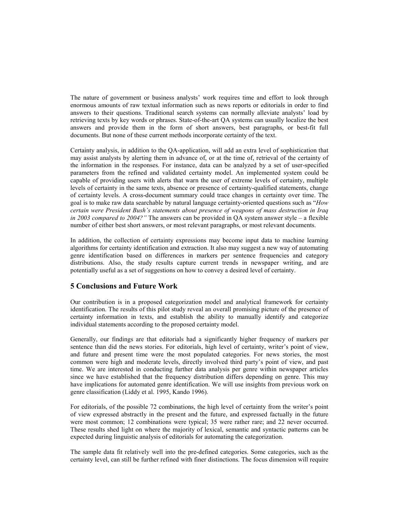The nature of government or business analysts' work requires time and effort to look through enormous amounts of raw textual information such as news reports or editorials in order to find answers to their questions. Traditional search systems can normally alleviate analysts' load by retrieving texts by key words or phrases. State-of-the-art QA systems can usually localize the best answers and provide them in the form of short answers, best paragraphs, or best-fit full documents. But none of these current methods incorporate certainty of the text.

Certainty analysis, in addition to the QA-application, will add an extra level of sophistication that may assist analysts by alerting them in advance of, or at the time of, retrieval of the certainty of the information in the responses. For instance, data can be analyzed by a set of user-specified parameters from the refined and validated certainty model. An implemented system could be capable of providing users with alerts that warn the user of extreme levels of certainty, multiple levels of certainty in the same texts, absence or presence of certainty-qualified statements, change of certainty levels. A cross-document summary could trace changes in certainty over time. The goal is to make raw data searchable by natural language certainty-oriented questions such as "How certain were President Bush's statements about presence of weapons of mass destruction in Iraq in 2003 compared to 2004?" The answers can be provided in QA system answer style – a flexible number of either best short answers, or most relevant paragraphs, or most relevant documents.

In addition, the collection of certainty expressions may become input data to machine learning algorithms for certainty identification and extraction. It also may suggest a new way of automating genre identification based on differences in markers per sentence frequencies and category distributions. Also, the study results capture current trends in newspaper writing, and are potentially useful as a set of suggestions on how to convey a desired level of certainty.

## 5 Conclusions and Future Work

Our contribution is in a proposed categorization model and analytical framework for certainty identification. The results of this pilot study reveal an overall promising picture of the presence of certainty information in texts, and establish the ability to manually identify and categorize individual statements according to the proposed certainty model.

Generally, our findings are that editorials had a significantly higher frequency of markers per sentence than did the news stories. For editorials, high level of certainty, writer's point of view, and future and present time were the most populated categories. For news stories, the most common were high and moderate levels, directly involved third party's point of view, and past time. We are interested in conducting further data analysis per genre within newspaper articles since we have established that the frequency distribution differs depending on genre. This may have implications for automated genre identification. We will use insights from previous work on genre classification (Liddy et al. 1995, Kando 1996).

For editorials, of the possible 72 combinations, the high level of certainty from the writer's point of view expressed abstractly in the present and the future, and expressed factually in the future were most common; 12 combinations were typical; 35 were rather rare; and 22 never occurred. These results shed light on where the majority of lexical, semantic and syntactic patterns can be expected during linguistic analysis of editorials for automating the categorization.

The sample data fit relatively well into the pre-defined categories. Some categories, such as the certainty level, can still be further refined with finer distinctions. The focus dimension will require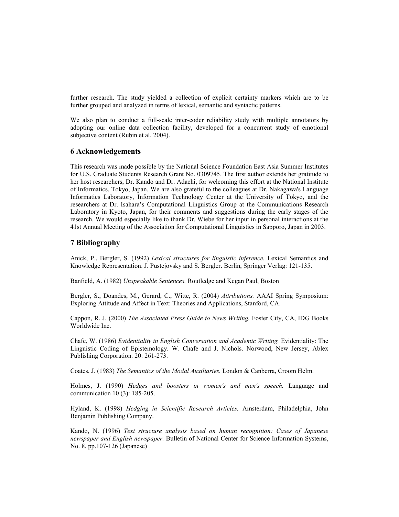further research. The study yielded a collection of explicit certainty markers which are to be further grouped and analyzed in terms of lexical, semantic and syntactic patterns.

We also plan to conduct a full-scale inter-coder reliability study with multiple annotators by adopting our online data collection facility, developed for a concurrent study of emotional subjective content (Rubin et al. 2004).

#### 6 Acknowledgements

This research was made possible by the National Science Foundation East Asia Summer Institutes for U.S. Graduate Students Research Grant No. 0309745. The first author extends her gratitude to her host researchers, Dr. Kando and Dr. Adachi, for welcoming this effort at the National Institute of Informatics, Tokyo, Japan. We are also grateful to the colleagues at Dr. Nakagawa's Language Informatics Laboratory, Information Technology Center at the University of Tokyo, and the researchers at Dr. Isahara's Computational Linguistics Group at the Communications Research Laboratory in Kyoto, Japan, for their comments and suggestions during the early stages of the research. We would especially like to thank Dr. Wiebe for her input in personal interactions at the 41st Annual Meeting of the Association for Computational Linguistics in Sapporo, Japan in 2003.

#### 7 Bibliography

Anick, P., Bergler, S. (1992) Lexical structures for linguistic inference. Lexical Semantics and Knowledge Representation. J. Pustejovsky and S. Bergler. Berlin, Springer Verlag: 121-135.

Banfield, A. (1982) Unspeakable Sentences. Routledge and Kegan Paul, Boston

Bergler, S., Doandes, M., Gerard, C., Witte, R. (2004) Attributions. AAAI Spring Symposium: Exploring Attitude and Affect in Text: Theories and Applications, Stanford, CA.

Cappon, R. J. (2000) The Associated Press Guide to News Writing. Foster City, CA, IDG Books Worldwide Inc.

Chafe, W. (1986) Evidentiality in English Conversation and Academic Writing. Evidentiality: The Linguistic Coding of Epistemology. W. Chafe and J. Nichols. Norwood, New Jersey, Ablex Publishing Corporation. 20: 261-273.

Coates, J. (1983) The Semantics of the Modal Auxiliaries. London & Canberra, Croom Helm.

Holmes, J. (1990) Hedges and boosters in women's and men's speech. Language and communication 10 (3): 185-205.

Hyland, K. (1998) Hedging in Scientific Research Articles. Amsterdam, Philadelphia, John Benjamin Publishing Company.

Kando, N. (1996) Text structure analysis based on human recognition: Cases of Japanese newspaper and English newspaper. Bulletin of National Center for Science Information Systems, No. 8, pp.107-126 (Japanese)